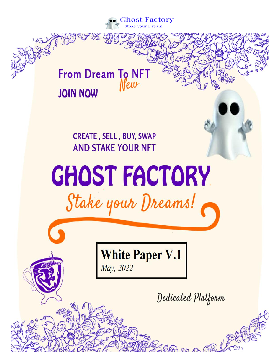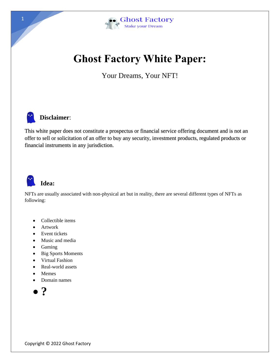

# **Ghost Factory White Paper:**

Your Dreams, Your NFT!



#### **Disclaimer**:

This white paper does not constitute a prospectus or financial service offering document and is not an offer to sell or solicitation of an offer to buy any security, investment products, regulated products or financial instruments in any jurisdiction.



#### **Idea:**

NFTs are usually associated with non-physical art but in reality, there are several different types of NFTs as following:

- Collectible items
- Artwork
- Event tickets
- Music and media
- Gaming
- Big Sports Moments
- Virtual Fashion
- Real-world assets
- Memes
- Domain names

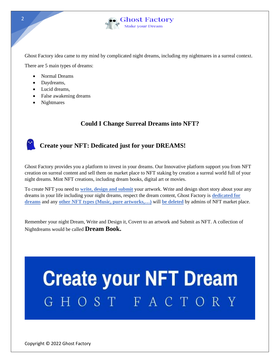

Ghost Factory idea came to my mind by complicated night dreams, including my nightmares in a surreal context.

There are 5 main types of dreams:

- Normal Dreams
- Daydreams,
- Lucid dreams,
- False awakening dreams
- Nightmares

#### **Could I Change Surreal Dreams into NFT?**

#### **Create your NFT: Dedicated just for your DREAMS!**

Ghost Factory provides you a platform to invest in your dreams. Our Innovative platform support you from NFT creation on surreal content and sell them on market place to NFT staking by creation a surreal world full of your night dreams. Mint NFT creations, including dream books, digital art or movies.

To create NFT you need to **write, design and submit** your artwork. Write and design short story about your any dreams in your life including your night dreams, respect the dream content, Ghost Factory is **dedicated for dreams** and any **other NFT types (Music, pure artworks,…)** will **be deleted** by admins of NFT market place.

Remember your night Dream, Write and Design it, Covert to an artwork and Submit as NFT. A collection of Nightdreams would be called **Dream Book.**

# **Create your NFT Dream** GHOST FACTORY

 $\overline{2}$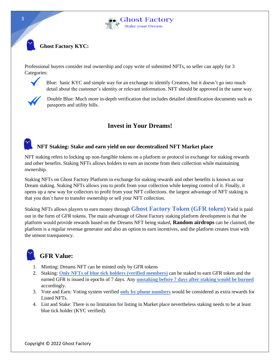

#### **Ghost Factory KYC:**

Professional buyers consider real ownership and copy write of submitted NFTs, so seller can apply for 3 Categories:



Blue: basic KYC and simple way for an exchange to identify Creators, but it doesn't go into much detail about the customer's identity or relevant information. NFT should be approved in the same way.



Double Blue: Much more in-depth verification that includes detailed identification documents such as passports and utility bills.

#### **Invest in Your Dreams!**

#### **NFT Staking: Stake and earn yield on our decentralized NFT Market place**

NFT staking refers to locking up non-fungible tokens on a platform or protocol in exchange for staking rewards and other benefits. Staking NFTs allows holders to earn an income from their collection while maintaining ownership.

Staking NFTs on Ghost Factory Platform in exchange for staking rewards and other benefits is known as our Dream staking. Staking NFTs allows you to profit from your collection while keeping control of it. Finally, it opens up a new way for collectors to profit from your NFT collections. the largest advantage of NFT staking is that you don`t have to transfer ownership or sell your NFT collection.

Staking NFTs allows players to earn money through **Ghost Factory Token (GFR token)** Yield is paid out in the form of GFR tokens. The main advantage of Ghost Factory staking platform development is that the platform would provide rewards based on the Dreams NFT being staked, **Random airdrops** can be claimed, the platform is a regular revenue generator and also an option to earn incentives, and the platform creates trust with the utmost transparency.



#### **GFR Value:**

- 1. Minting: Dreams NFT can be minted only by GFR tokens
- 2. Staking: **Only NFTs of blue tick holders (verified members)** can be staked to earn GFR token and the earned GFR is issued in epochs of 7 days. Any **unstaking before 7 days after staking would be burned** accordingly.
- 3. Vote and Earn: Voting system verified **only by phone numbers** would be considered as extra rewards for Listed NFTs.
- 4. List and Stake: There is no limitation for listing in Market place nevertheless staking needs to be at least blue tick holder (KYC verified).

3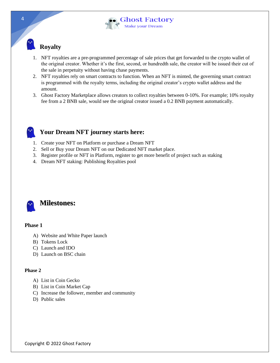

### **Royalty**

- 1. NFT royalties are a pre-programmed percentage of sale prices that get forwarded to the crypto wallet of the original creator. Whether it's the first, second, or hundredth sale, the creator will be issued their cut of the sale in perpetuity without having chase payments.
- 2. NFT royalties rely on smart contracts to function. When an NFT is minted, the governing smart contract is programmed with the royalty terms, including the original creator's crypto wallet address and the amount.
- 3. Ghost Factory Marketplace allows creators to collect royalties between 0-10%. For example; 10% royalty fee from a 2 BNB sale, would see the original creator issued a 0.2 BNB payment automatically.

#### **Your Dream NFT journey starts here:**

- 1. Create your NFT on Platform or purchase a Dream NFT
- 2. Sell or Buy your Dream NFT on our Dedicated NFT market place.
- 3. Register profile or NFT in Platform, register to get more benefit of project such as staking
- 4. Dream NFT staking: Publishing Royalties pool



#### **Phase 1**

- A) Website and White Paper launch
- B) Tokens Lock
- C) Launch and IDO
- D) Launch on BSC chain

#### **Phase 2**

- A) List in Coin Gecko
- B) List in Coin Market Cap
- C) Increase the follower, member and community
- D) Public sales

4

Copyright © 2022 Ghost Factory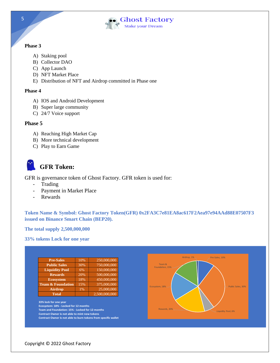

#### **Phase 3**

- A) Staking pool
- B) Collector DAO
- C) App Launch
- D) NFT Market Place
- E) Distribution of NFT and Airdrop committed in Phase one

#### **Phase 4**

- A) IOS and Android Development
- B) Super large community
- C) 24/7 Voice support

#### **Phase 5**

- A) Reaching High Market Cap
- B) More technical development
- C) Play to Earn Game

## **GFR Token:**

GFR is governance token of Ghost Factory. GFR token is used for:

- Trading
- Payment in Market Place
- Rewards

**Token Name & Symbol: Ghost Factory Token(GFR) 0x2FA3C7e81EA8ac617F2Aea97e94AAd88E07507F3 issued on Binance Smart Chain (BEP20).**

**The total supply 2,500,000,000**

**33% tokens Lock for one year**



5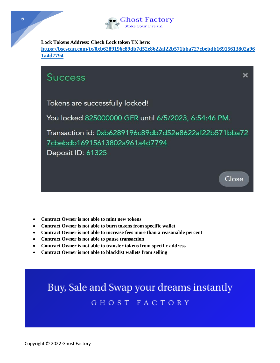

**Lock Tokens Address: Check Lock token TX here:**

**[https://bscscan.com/tx/0xb6289196c89db7d52e8622af22b571bba727cbebdb16915613802a96](https://bscscan.com/tx/0xb6289196c89db7d52e8622af22b571bba727cbebdb16915613802a961a4d7794) [1a4d7794](https://bscscan.com/tx/0xb6289196c89db7d52e8622af22b571bba727cbebdb16915613802a961a4d7794)**



- **Contract Owner is not able to mint new tokens**
- **Contract Owner is not able to burn tokens from specific wallet**
- **Contract Owner is not able to increase fees more than a reasonable percent**
- **Contract Owner is not able to pause transaction**
- **Contract Owner is not able to transfer tokens from specific address**
- **Contract Owner is not able to blacklist wallets from selling**

Buy, Sale and Swap your dreams instantly GHOST FACTORY

Copyright © 2022 Ghost Factory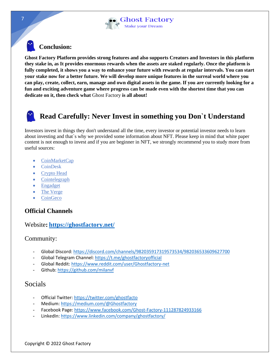

#### **Conclusion:**

**Ghost Factory Platform provides strong features and also supports Creators and Investors in this platform they stake in, as It provides enormous rewards when the assets are staked regularly. Once the platform is fully completed, it shows you a way to enhance your future with rewards at regular intervals. You can start your stake now for a better future. We will develop more unique features in the surreal world where you can play, create, collect, earn, manage and own digital assets in the game. If you are currently looking for a fun and exciting adventure game where progress can be made even with the shortest time that you can dedicate on it, then check what** Ghost Factory **is all about!**

## **Read Carefully: Never Invest in something you Don`t Understand**

Investors invest in things they don't understand all the time, every investor or potential investor needs to learn about investing and that`s why we provided some information about NFT. Please keep in mind that white paper content is not enough to invest and if you are beginner in NFT, we strongly recommend you to study more from useful sources:

- CoinMarketCa[p](http://www.runrex.com/)
- CoinDesk
- Crypto Head
- Cointelegraph
- Engadget
- The Verge
- CoinGeco

#### **Official Channels**

#### Website**: <https://ghostfactory.net/>**

#### Community:

- Global Discord: <https://discord.com/channels/982035917319573534/982036533609627700>
- Global Telegram Channel: <https://t.me/ghostfactoryofficial>
- Global Reddit: <https://www.reddit.com/user/Ghostfactory-net>
- Github:<https://github.com/milanvf>

#### Socials

- Official Twitter: <https://twitter.com/ghostfacto>
- Medium: <https://medium.com/@Ghostfactory>
- Facebook Page: <https://www.facebook.com/Ghost-Factory-111287824933166>
- LinkedIn: <https://www.linkedin.com/company/ghostfactory/>

7